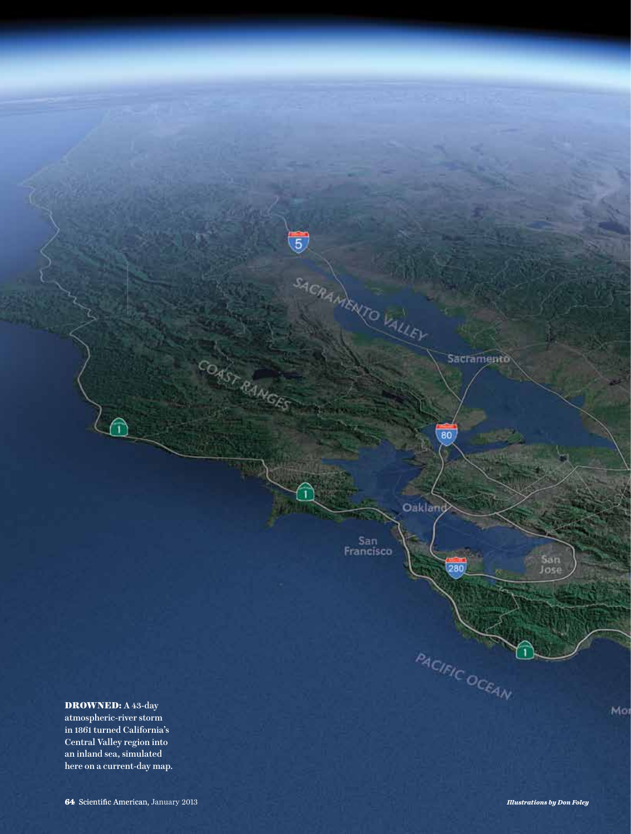**DROWNED:** A 43-day atmospheric-river storm in 1861 turned California's Central Valley region into an inland sea, simulated here on a current-day map.

ī

San

Jose

**SACRAMENTO VALLEY** 

Sacramento

80

280

PACIFIC OCEAN

Oakland

San<br>Francisco

COAST RANGES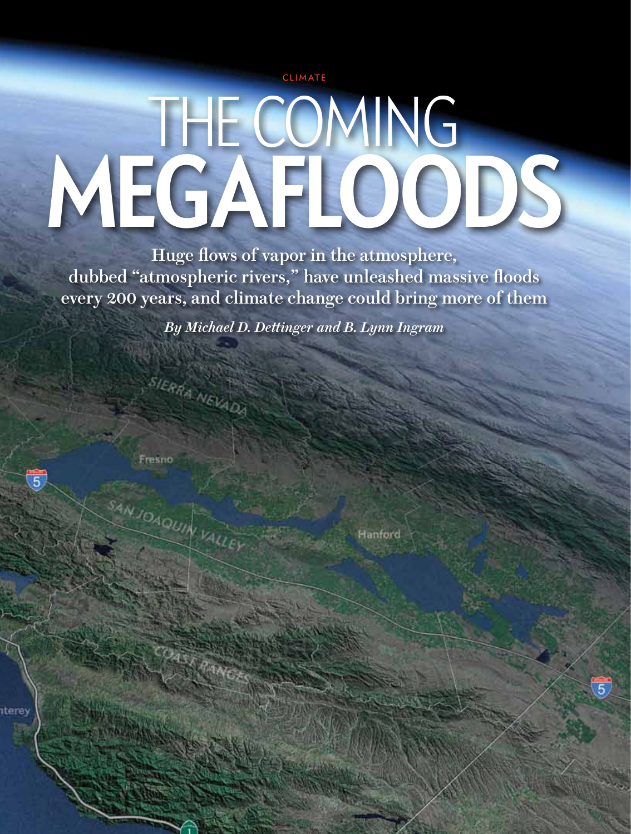**CLIMATE** 

# THE COMING **Megafloods**

Huge flows of vapor in the atmosphere, dubbed "atmospheric rivers," have unleashed massive floods every 200 years, and climate change could bring more of them

*By Michael D. Dettinger and B. Lynn Ingram*

Fresno

SANJOAQUIN VALLEY

 $\overline{5}$ 

iterev

SIERRA NEVADA

lanford

 $\overline{5}$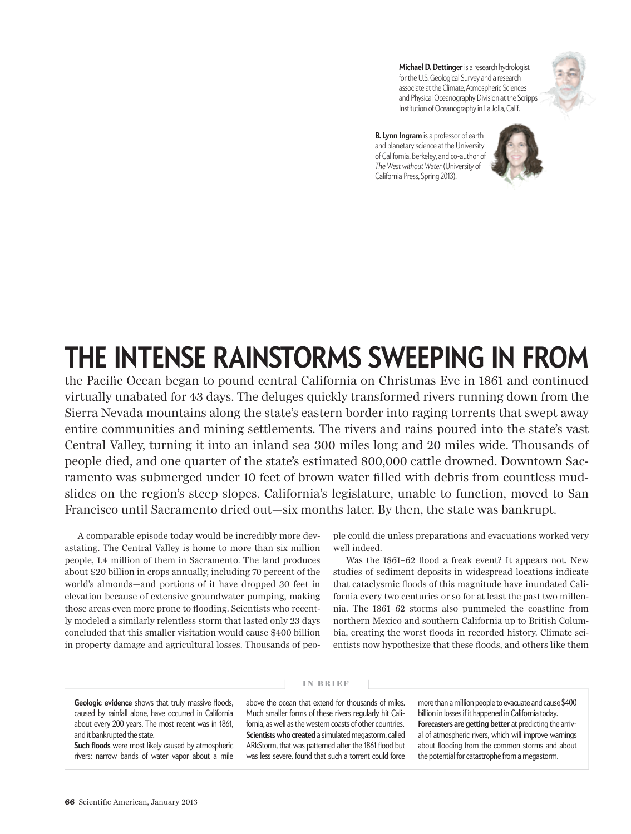**Michael D. Dettinger**is a research hydrologist for the U.S. Geological Survey and a research associate at the Climate, Atmospheric Sciences and Physical Oceanography Division at the Scripps Institution of Oceanography in La Jolla, Calif.



**B. Lynn Ingram** is a professor of earth and planetary science at the University of California, Berkeley, and co-author of *The West without Water* (University of California Press, Spring 2013).



## **The intense rainstorms sweeping in from**

the Pacific Ocean began to pound central California on Christmas Eve in 1861 and continued virtually unabated for 43 days. The deluges quickly transformed rivers running down from the Sierra Nevada mountains along the state's eastern border into raging torrents that swept away entire communities and mining settlements. The rivers and rains poured into the state's vast Central Valley, turning it into an inland sea 300 miles long and 20 miles wide. Thousands of people died, and one quarter of the state's estimated 800,000 cattle drowned. Downtown Sacramento was submerged under 10 feet of brown water filled with debris from countless mudslides on the region's steep slopes. California's legislature, unable to function, moved to San Francisco until Sacramento dried out—six months later. By then, the state was bankrupt.

A comparable episode today would be incredibly more devastating. The Central Valley is home to more than six million people, 1.4 million of them in Sacramento. The land produces about \$20 billion in crops annually, including 70 percent of the world's almonds—and portions of it have dropped 30 feet in elevation because of extensive groundwater pumping, making those areas even more prone to flooding. Scientists who recently modeled a similarly relentless storm that lasted only 23 days concluded that this smaller visitation would cause \$400 billion in property damage and agricultural losses. Thousands of people could die unless preparations and evacuations worked very well indeed.

Was the 1861–62 flood a freak event? It appears not. New studies of sediment deposits in widespread locations indicate that cataclysmic floods of this magnitude have inundated California every two centuries or so for at least the past two millennia. The 1861–62 storms also pummeled the coastline from northern Mexico and southern California up to British Columbia, creating the worst floods in recorded history. Climate scientists now hypothesize that these floods, and others like them

#### **in brief**

**Geologic evidence** shows that truly massive floods, caused by rainfall alone, have occurred in California about every 200 years. The most recent was in 1861, and it bankrupted the state.

**Such floods** were most likely caused by atmospheric rivers: narrow bands of water vapor about a mile

above the ocean that extend for thousands of miles. Much smaller forms of these rivers regularly hit California, as well as the western coasts of other countries. **Scientistswho created** a simulated megastorm, called ARkStorm, that was patterned after the 1861 flood but was less severe, found that such a torrent could force

more than a million people to evacuate and cause \$400 billion in losses if it happened in California today.

**Forecasters are getting better** at predicting the arrival of atmospheric rivers, which will improve warnings about flooding from the common storms and about the potential for catastrophe from a megastorm.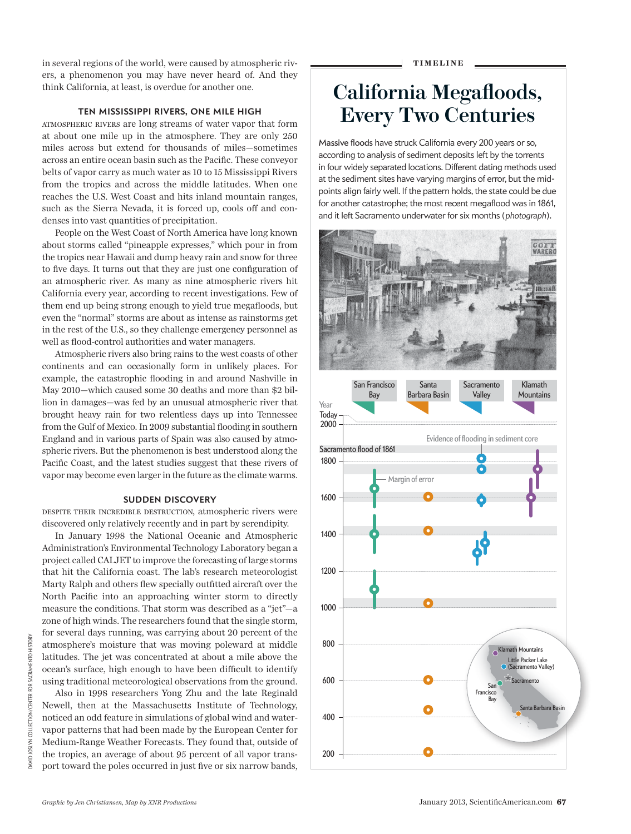in several regions of the world, were caused by atmospheric rivers, a phenomenon you may have never heard of. And they think California, at least, is overdue for another one.

#### **Ten Mississippi Rivers, One Mile High**

atmospheric rivers are long streams of water vapor that form at about one mile up in the atmosphere. They are only 250 miles across but extend for thousands of miles—sometimes across an entire ocean basin such as the Pacific. These conveyor belts of vapor carry as much water as 10 to 15 Mississippi Rivers from the tropics and across the middle latitudes. When one reaches the U.S. West Coast and hits inland mountain ranges, such as the Sierra Nevada, it is forced up, cools off and condenses into vast quantities of precipitation.

People on the West Coast of North America have long known about storms called "pineapple expresses," which pour in from the tropics near Hawaii and dump heavy rain and snow for three to five days. It turns out that they are just one configuration of an atmospheric river. As many as nine atmospheric rivers hit California every year, according to recent investigations. Few of them end up being strong enough to yield true megafloods, but even the "normal" storms are about as intense as rainstorms get in the rest of the U.S., so they challenge emergency personnel as well as flood-control authorities and water managers.

Atmospheric rivers also bring rains to the west coasts of other continents and can occasionally form in unlikely places. For example, the catastrophic flooding in and around Nashville in May 2010—which caused some 30 deaths and more than \$2 billion in damages—was fed by an unusual atmospheric river that brought heavy rain for two relentless days up into Tennessee from the Gulf of Mexico. In 2009 substantial flooding in southern England and in various parts of Spain was also caused by atmospheric rivers. But the phenomenon is best understood along the Pacific Coast, and the latest studies suggest that these rivers of vapor may become even larger in the future as the climate warms.

#### **Sudden Discovery**

despite their incredible destruction, atmospheric rivers were discovered only relatively recently and in part by serendipity.

In January 1998 the National Oceanic and Atmospheric Administration's Environmental Technology Laboratory began a project called CALJET to improve the forecasting of large storms that hit the California coast. The lab's research meteorologist Marty Ralph and others flew specially outfitted aircraft over the North Pacific into an approaching winter storm to directly measure the conditions. That storm was described as a "jet"—a zone of high winds. The researchers found that the single storm, for several days running, was carrying about 20 percent of the atmosphere's moisture that was moving poleward at middle latitudes. The jet was concentrated at about a mile above the ocean's surface, high enough to have been difficult to identify using traditional meteorological observations from the ground.

Also in 1998 researchers Yong Zhu and the late Reginald Newell, then at the Massachusetts Institute of Technology, noticed an odd feature in simulations of global wind and watervapor patterns that had been made by the European Center for Medium-Range Weather Forecasts. They found that, outside of the tropics, an average of about 95 percent of all vapor transport toward the poles occurred in just five or six narrow bands,

## California Megafloods, Every Two Centuries

Massive floods have struck California every 200 years or so, according to analysis of sediment deposits left by the torrents in four widely separated locations. Different dating methods used at the sediment sites have varying margins of error, but the midpoints align fairly well. If the pattern holds, the state could be due for another catastrophe; the most recent megaflood was in 1861, and it left Sacramento underwater for six months (*photograph*).

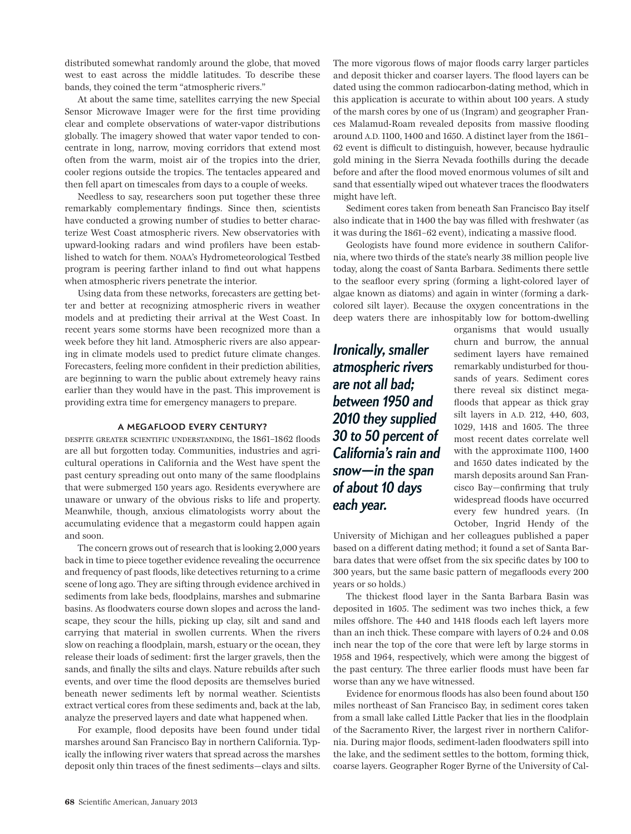distributed somewhat randomly around the globe, that moved west to east across the middle latitudes. To describe these bands, they coined the term "atmospheric rivers."

At about the same time, satellites carrying the new Special Sensor Microwave Imager were for the first time providing clear and complete observations of water-vapor distributions globally. The imagery showed that water vapor tended to concentrate in long, narrow, moving corridors that extend most often from the warm, moist air of the tropics into the drier, cooler regions outside the tropics. The tentacles appeared and then fell apart on timescales from days to a couple of weeks.

Needless to say, researchers soon put together these three remarkably complementary findings. Since then, scientists have conducted a growing number of studies to better characterize West Coast atmospheric rivers. New observatories with upward-looking radars and wind profilers have been established to watch for them. NOAA's Hydrometeorological Testbed program is peering farther inland to find out what happens when atmospheric rivers penetrate the interior.

Using data from these networks, forecasters are getting better and better at recognizing atmospheric rivers in weather models and at predicting their arrival at the West Coast. In recent years some storms have been recognized more than a week before they hit land. Atmospheric rivers are also appearing in climate models used to predict future climate changes. Forecasters, feeling more confident in their prediction abilities, are beginning to warn the public about extremely heavy rains earlier than they would have in the past. This improvement is providing extra time for emergency managers to prepare.

#### **A Megaflood Every Century?**

despite greater scientific understanding, the 1861–1862 floods are all but forgotten today. Communities, industries and agricultural operations in California and the West have spent the past century spreading out onto many of the same floodplains that were submerged 150 years ago. Residents everywhere are unaware or unwary of the obvious risks to life and property. Meanwhile, though, anxious climatologists worry about the accumulating evidence that a megastorm could happen again and soon.

The concern grows out of research that is looking 2,000 years back in time to piece together evidence revealing the occurrence and frequency of past floods, like detectives returning to a crime scene of long ago. They are sifting through evidence archived in sediments from lake beds, floodplains, marshes and submarine basins. As floodwaters course down slopes and across the landscape, they scour the hills, picking up clay, silt and sand and carrying that material in swollen currents. When the rivers slow on reaching a floodplain, marsh, estuary or the ocean, they release their loads of sediment: first the larger gravels, then the sands, and finally the silts and clays. Nature rebuilds after such events, and over time the flood deposits are themselves buried beneath newer sediments left by normal weather. Scientists extract vertical cores from these sediments and, back at the lab, analyze the preserved layers and date what happened when.

For example, flood deposits have been found under tidal marshes around San Francisco Bay in northern California. Typically the inflowing river waters that spread across the marshes deposit only thin traces of the finest sediments—clays and silts.

The more vigorous flows of major floods carry larger particles and deposit thicker and coarser layers. The flood layers can be dated using the common radiocarbon-dating method, which in this application is accurate to within about 100 years. A study of the marsh cores by one of us (Ingram) and geographer Frances Malamud-Roam revealed deposits from massive flooding around A.D. 1100, 1400 and 1650. A distinct layer from the 1861– 62 event is difficult to distinguish, however, because hydraulic gold mining in the Sierra Nevada foothills during the decade before and after the flood moved enormous volumes of silt and sand that essentially wiped out whatever traces the floodwaters might have left.

Sediment cores taken from beneath San Francisco Bay itself also indicate that in 1400 the bay was filled with freshwater (as it was during the 1861–62 event), indicating a massive flood.

Geologists have found more evidence in southern California, where two thirds of the state's nearly 38 million people live today, along the coast of Santa Barbara. Sediments there settle to the seafloor every spring (forming a light-colored layer of algae known as diatoms) and again in winter (forming a darkcolored silt layer). Because the oxygen concentrations in the deep waters there are inhospitably low for bottom-dwelling

*Ironically, smaller atmospheric rivers are not all bad; between 1950 and 2010 they supplied 30 to 50 percent of California's rain and snow—in the span of about 10 days each year.*

organisms that would usually churn and burrow, the annual sediment layers have remained remarkably undisturbed for thousands of years. Sediment cores there reveal six distinct megafloods that appear as thick gray silt layers in A.D. 212, 440, 603, 1029, 1418 and 1605. The three most recent dates correlate well with the approximate 1100, 1400 and 1650 dates indicated by the marsh deposits around San Francisco Bay—confirming that truly widespread floods have occurred every few hundred years. (In October, Ingrid Hendy of the

University of Michigan and her colleagues published a paper based on a different dating method; it found a set of Santa Barbara dates that were offset from the six specific dates by 100 to 300 years, but the same basic pattern of megafloods every 200 years or so holds.)

The thickest flood layer in the Santa Barbara Basin was deposited in 1605. The sediment was two inches thick, a few miles offshore. The 440 and 1418 floods each left layers more than an inch thick. These compare with layers of 0.24 and 0.08 inch near the top of the core that were left by large storms in 1958 and 1964, respectively, which were among the biggest of the past century. The three earlier floods must have been far worse than any we have witnessed.

Evidence for enormous floods has also been found about 150 miles northeast of San Francisco Bay, in sediment cores taken from a small lake called Little Packer that lies in the floodplain of the Sacramento River, the largest river in northern California. During major floods, sediment-laden floodwaters spill into the lake, and the sediment settles to the bottom, forming thick, coarse layers. Geographer Roger Byrne of the University of Cal-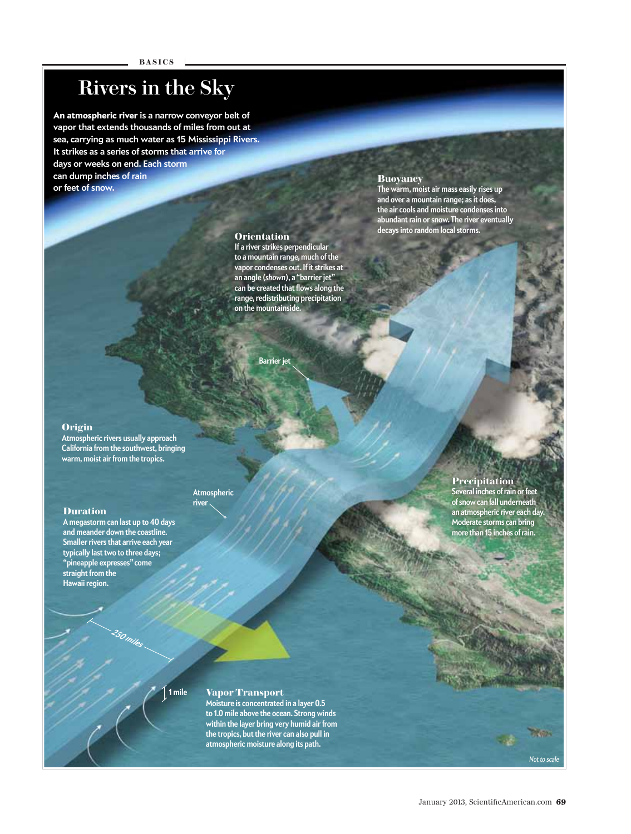## Rivers in the Sky

An atmospheric river **is a narrow conveyor belt of vapor that extends thousands of miles from out at sea, carrying as much water as 15 Mississippi Rivers. It strikes as a series of storms that arrive for days or weeks on end. Each storm can dump inches of rain or feet of snow.** 

#### **Orientation**

**If a river strikes perpendicular to a mountain range, much of the vapor condenses out. If it strikes at an angle (***shown***), a "barrier jet" can be created that flows along the range, redistributing precipitation on the mountainside.** 

**Barrier jet**

#### **Origin**

**Atmospheric rivers usually approach California from the southwest, bringing warm, moist air from the tropics.** 

#### **Duration**

**A megastorm can last up to 40 days and meander down the coastline. Smaller rivers that arrive each year typically last two to three days; "pineapple expresses" come straight from the Hawaii region.**

**250 miles**

**Atmospheric river**

#### **Buoyancy**

**The warm, moist air mass easily rises up and over a mountain range; as it does, the air cools and moisture condenses into abundant rain or snow. The river eventually decays into random local storms.**

**Precipitation**

**Several inches of rain or feet of snow can fall underneath an atmospheric river each day. Moderate storms can bring more than 15 inches of rain.** 

**Vapor Transport**

**1 mile**

**Moisture is concentrated in a layer 0.5 to 1.0 mile above the ocean. Strong winds within the layer bring very humid air from the tropics, but the river can also pull in atmospheric moisture along its path.**

*Not to scale*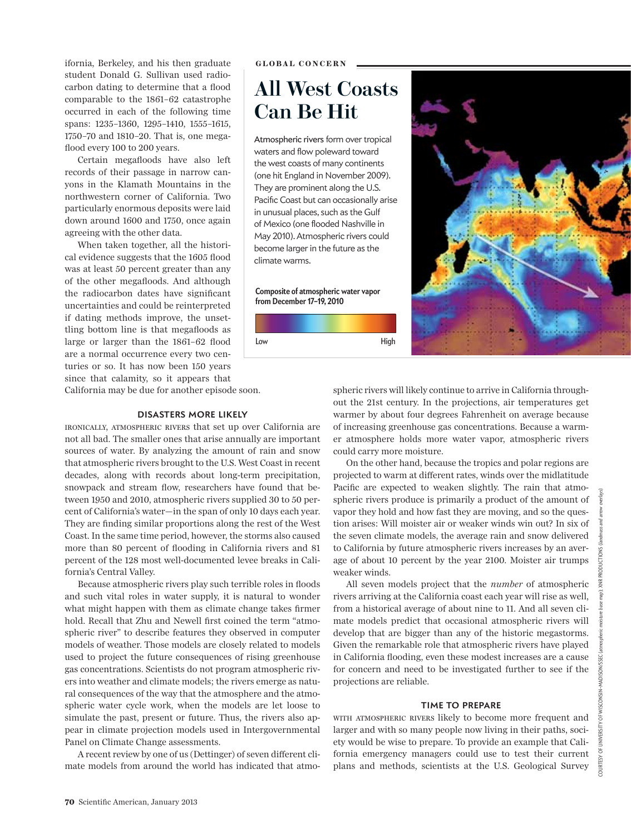ifornia, Berkeley, and his then graduate student Donald G. Sullivan used radiocarbon dating to determine that a flood comparable to the 1861–62 catastrophe occurred in each of the following time spans: 1235–1360, 1295–1410, 1555–1615, 1750–70 and 1810–20. That is, one megaflood every 100 to 200 years.

Certain megafloods have also left records of their passage in narrow canyons in the Klamath Mountains in the northwestern corner of California. Two particularly enormous deposits were laid down around 1600 and 1750, once again agreeing with the other data.

When taken together, all the historical evidence suggests that the 1605 flood was at least 50 percent greater than any of the other megafloods. And although the radiocarbon dates have significant uncertainties and could be reinterpreted if dating methods improve, the unsettling bottom line is that megafloods as large or larger than the 1861–62 flood are a normal occurrence every two centuries or so. It has now been 150 years since that calamity, so it appears that

#### **GLOBAL CONCERN**

### All West Coasts Can Be Hit

Atmospheric rivers form over tropical waters and flow poleward toward the west coasts of many continents (one hit England in November 2009). They are prominent along the U.S. Pacific Coast but can occasionally arise in unusual places, such as the Gulf of Mexico (one flooded Nashville in May 2010). Atmospheric rivers could become larger in the future as the climate warms.

**Composite of atmospheric water vapor from December 17–19, 2010**





California may be due for another episode soon.

#### **Disasters More Likely**

ironically, atmospheric rivers that set up over California are not all bad. The smaller ones that arise annually are important sources of water. By analyzing the amount of rain and snow that atmospheric rivers brought to the U.S. West Coast in recent decades, along with records about long-term precipitation, snowpack and stream flow, researchers have found that be tween 1950 and 2010, atmospheric rivers supplied 30 to 50 percent of California's water—in the span of only 10 days each year. They are finding similar proportions along the rest of the West Coast. In the same time period, however, the storms also caused more than 80 percent of flooding in California rivers and 81 percent of the 128 most well-documented levee breaks in California's Central Valley.

Because atmospheric rivers play such terrible roles in floods and such vital roles in water supply, it is natural to wonder what might happen with them as climate change takes firmer hold. Recall that Zhu and Newell first coined the term "atmospheric river" to describe features they observed in computer models of weather. Those models are closely related to models used to project the future consequences of rising greenhouse gas concentrations. Scientists do not program atmospheric rivers into weather and climate models; the rivers emerge as natural consequences of the way that the atmosphere and the atmospheric water cycle work, when the models are let loose to simulate the past, present or future. Thus, the rivers also appear in climate projection models used in Intergovernmental Panel on Climate Change assessments.

A recent review by one of us (Dettinger) of seven different climate models from around the world has indicated that atmospheric rivers will likely continue to arrive in California throughout the 21st century. In the projections, air temperatures get warmer by about four degrees Fahrenheit on average because of increasing greenhouse gas concentrations. Because a warmer atmosphere holds more water vapor, atmospheric rivers could carry more moisture.

On the other hand, because the tropics and polar regions are projected to warm at different rates, winds over the midlatitude Pacific are expected to weaken slightly. The rain that atmospheric rivers produce is primarily a product of the amount of vapor they hold and how fast they are moving, and so the question arises: Will moister air or weaker winds win out? In six of the seven climate models, the average rain and snow delivered to California by future atmospheric rivers increases by an average of about 10 percent by the year 2100. Moister air trumps weaker winds.

All seven models project that the *number* of atmospheric rivers arriving at the California coast each year will rise as well, from a historical average of about nine to 11. And all seven climate models predict that occasional atmospheric rivers will develop that are bigger than any of the historic megastorms. Given the remarkable role that atmospheric rivers have played in California flooding, even these modest increases are a cause for concern and need to be investigated further to see if the projections are reliable.

#### **Time to Prepare**

WITH ATMOSPHERIC RIVERS likely to become more frequent and larger and with so many people now living in their paths, society would be wise to prepare. To provide an example that California emergency managers could use to test their current plans and methods, scientists at the U.S. Geological Survey